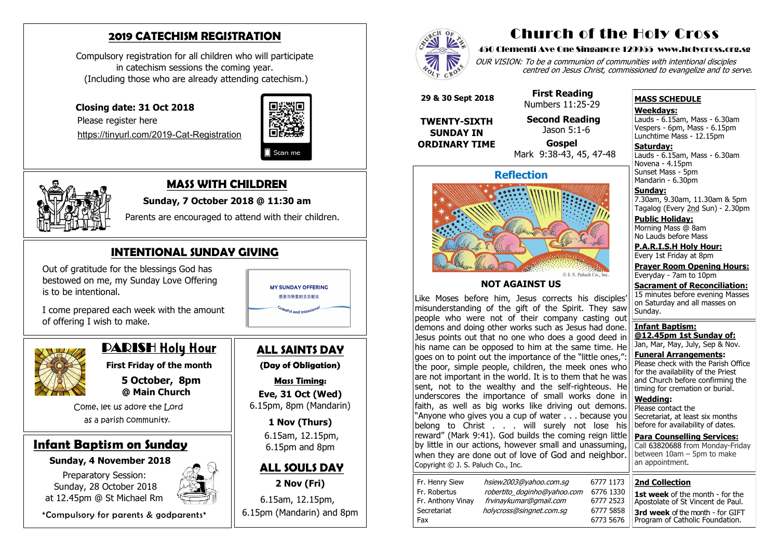**First Friday of the month 5 October, 8pm @ Main Church**

Come, let us adore the Lord as a parish community.

### **Infant Baptism on Sunday**

#### **Sunday, 4 November 2018**

Preparatory Session: Sunday, 28 October 2018 at 12.45pm @ St Michael Rm



\*Compulsory for parents & godparents\*

## **2019 CATECHISM REGISTRATION**

Compulsory registration for all children who will participate in catechism sessions the coming year. (Including those who are already attending catechism.)

 **Closing date: 31 Oct 2018**

Please register here

[https://tinyurl.com/2019](https://tinyurl.com/2019-Cat-Registration)-Cat-Registration





# **ALL SAINTS DAY**

OUR VISION: To be a communion of communities with intentional disciples centred on Jesus Christ, commissioned to evangelize and to serve.

**(Day of Obligation)**

**Mass Timing: Eve, 31 Oct (Wed)** 6.15pm, 8pm (Mandarin)

> **1 Nov (Thurs)** 6.15am, 12.15pm, 6.15pm and 8pm

#### **ALL SOULS DAY**

**2 Nov (Fri)** 6.15am, 12.15pm, 6.15pm (Mandarin) and 8pm



## **MASS WITH CHILDREN**

**Sunday, 7 October 2018 @ 11:30 am**

**Saturday:** Lauds - 6.15am, Mass - 6.30am Novena - 4.15pm Sunset Mass - 5pm Mandarin - 6.30pm

Parents are encouraged to attend with their children.

# **INTENTIONAL SUNDAY GIVING**

 Out of gratitude for the blessings God has bestowed on me, my Sunday Love Offering is to be intentional.



 I come prepared each week with the amount of offering I wish to make.



# DARISH Holy Hour

# Church of the Holy Cross

#### 450 Clementi Ave One Singapore 129955 www.holycross.org.sg

| 6777 1173 |  |
|-----------|--|
| 6776 1330 |  |
| 6777 2523 |  |
| 6777 5858 |  |
| 6773 5676 |  |

Fax 6773 5676

Fr. Henry Siew hsiew2003@yahoo.com.sq Fr. Robertus *robertito doginho@yahoo.com* Fr. Anthony Vinay frvinaykumar@gmail.com Secretariat holycross@singnet.com.sq

#### **MASS SCHEDULE**

**Weekdays:**

Lauds - 6.15am, Mass - 6.30am Vespers - 6pm, Mass - 6.15pm Lunchtime Mass - 12.15pm

**Sunday:** 7.30am, 9.30am, 11.30am & 5pm Tagalog (Every 2nd Sun) - 2.30pm

**Public Holiday:**  Morning Mass @ 8am No Lauds before Mass

**P.A.R.I.S.H Holy Hour:** Every 1st Friday at 8pm

**Prayer Room Opening Hours:** Everyday - 7am to 10pm

**Sacrament of Reconciliation:** 15 minutes before evening Masses on Saturday and all masses on Sunday.

**Infant Baptism: @12.45pm 1st Sunday of:** Jan, Mar, May, July, Sep & Nov.

**Funeral Arrangements:**  Please check with the Parish Office for the availability of the Priest and Church before confirming the timing for cremation or burial.

**Wedding:**  Please contact the Secretariat, at least six months before for availability of dates.

**Para Counselling Services:** Call [63820688](tel:+6563820688) from Monday-Friday between 10am – 5pm to make an appointment.



#### **NOT AGAINST US**

Like Moses before him, Jesus corrects his disciples' misunderstanding of the gift of the Spirit. They saw people who were not of their company casting out demons and doing other works such as Jesus had done. Jesus points out that no one who does a good deed in his name can be opposed to him at the same time. He  $\vert$  goes on to point out the importance of the "little ones," the poor, simple people, children, the meek ones who are not important in the world. It is to them that he was sent, not to the wealthy and the self-righteous. He underscores the importance of small works done in faith, as well as big works like driving out demons. "Anyone who gives you a cup of water . . . because you belong to Christ . . . will surely not lose his reward" (Mark 9:41). God builds the coming reign little by little in our actions, however small and unassuming, when they are done out of love of God and neighbor. Copyright © J. S. Paluch Co., Inc.

 **29 & 30 Sept 2018**

**TWENTY-SIXTH SUNDAY IN ORDINARY TIME**

#### **First Reading** Numbers 11:25-29

 **Second Reading** Jason 5:1-6

 **Gospel** Mark 9:38-43, 45, 47-48

#### **2nd Collection 1st week** of the month - for the

Apostolate of St Vincent de Paul. **3rd week** of the month - for GIFT Program of Catholic Foundation.